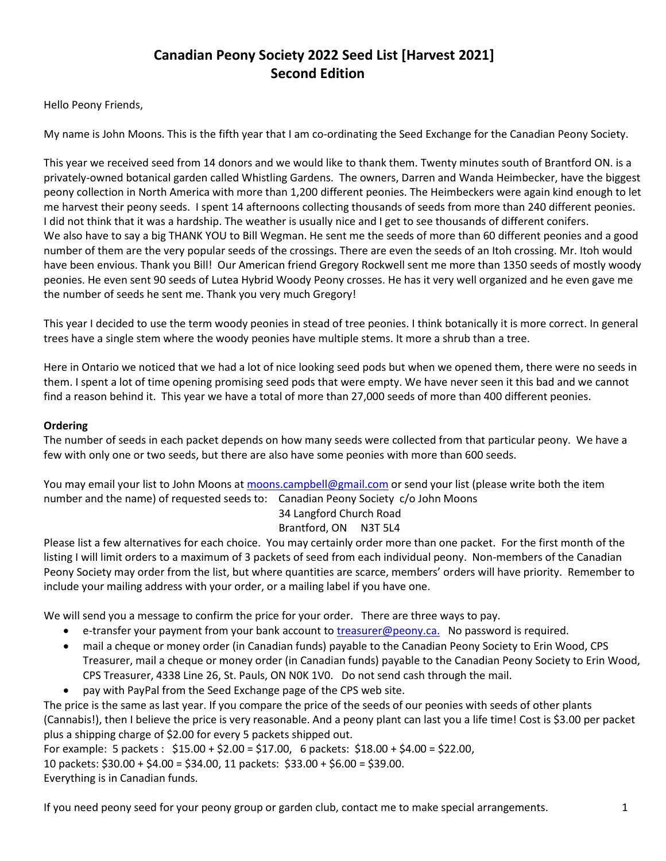# **Canadian Peony Society 2022 Seed List [Harvest 2021] Second Edition**

Hello Peony Friends,

My name is John Moons. This is the fifth year that I am co-ordinating the Seed Exchange for the Canadian Peony Society.

This year we received seed from 14 donors and we would like to thank them. Twenty minutes south of Brantford ON. is a privately-owned botanical garden called Whistling Gardens. The owners, Darren and Wanda Heimbecker, have the biggest peony collection in North America with more than 1,200 different peonies. The Heimbeckers were again kind enough to let me harvest their peony seeds. I spent 14 afternoons collecting thousands of seeds from more than 240 different peonies. I did not think that it was a hardship. The weather is usually nice and I get to see thousands of different conifers. We also have to say a big THANK YOU to Bill Wegman. He sent me the seeds of more than 60 different peonies and a good number of them are the very popular seeds of the crossings. There are even the seeds of an Itoh crossing. Mr. Itoh would have been envious. Thank you Bill! Our American friend Gregory Rockwell sent me more than 1350 seeds of mostly woody peonies. He even sent 90 seeds of Lutea Hybrid Woody Peony crosses. He has it very well organized and he even gave me the number of seeds he sent me. Thank you very much Gregory!

This year I decided to use the term woody peonies in stead of tree peonies. I think botanically it is more correct. In general trees have a single stem where the woody peonies have multiple stems. It more a shrub than a tree.

Here in Ontario we noticed that we had a lot of nice looking seed pods but when we opened them, there were no seeds in them. I spent a lot of time opening promising seed pods that were empty. We have never seen it this bad and we cannot find a reason behind it. This year we have a total of more than 27,000 seeds of more than 400 different peonies.

### **Ordering**

The number of seeds in each packet depends on how many seeds were collected from that particular peony. We have a few with only one or two seeds, but there are also have some peonies with more than 600 seeds.

You may email your list to John Moons at [moons.campbell@gmail.com](mailto:moons.campbell@gmail.com) or send your list (please write both the item number and the name) of requested seeds to: Canadian Peony Society c/o John Moons

#### 34 Langford Church Road Brantford, ON N3T 5L4

Please list a few alternatives for each choice. You may certainly order more than one packet. For the first month of the listing I will limit orders to a maximum of 3 packets of seed from each individual peony. Non-members of the Canadian Peony Society may order from the list, but where quantities are scarce, members' orders will have priority. Remember to include your mailing address with your order, or a mailing label if you have one.

We will send you a message to confirm the price for your order. There are three ways to pay.

- e-transfer your payment from your bank account to [treasurer@peony.ca.](mailto:treasurer@peony.ca) No password is required.
- mail a cheque or money order (in Canadian funds) payable to the Canadian Peony Society to Erin Wood, CPS Treasurer, mail a cheque or money order (in Canadian funds) payable to the Canadian Peony Society to Erin Wood, CPS Treasurer, 4338 Line 26, St. Pauls, ON N0K 1V0. Do not send cash through the mail.
- pay with PayPal from the Seed Exchange page of the CPS web site.

The price is the same as last year. If you compare the price of the seeds of our peonies with seeds of other plants (Cannabis!), then I believe the price is very reasonable. And a peony plant can last you a life time! Cost is \$3.00 per packet plus a shipping charge of \$2.00 for every 5 packets shipped out.

For example: 5 packets : \$15.00 + \$2.00 = \$17.00, 6 packets: \$18.00 + \$4.00 = \$22.00,

10 packets: \$30.00 + \$4.00 = \$34.00, 11 packets: \$33.00 + \$6.00 = \$39.00.

Everything is in Canadian funds.

If you need peony seed for your peony group or garden club, contact me to make special arrangements. 1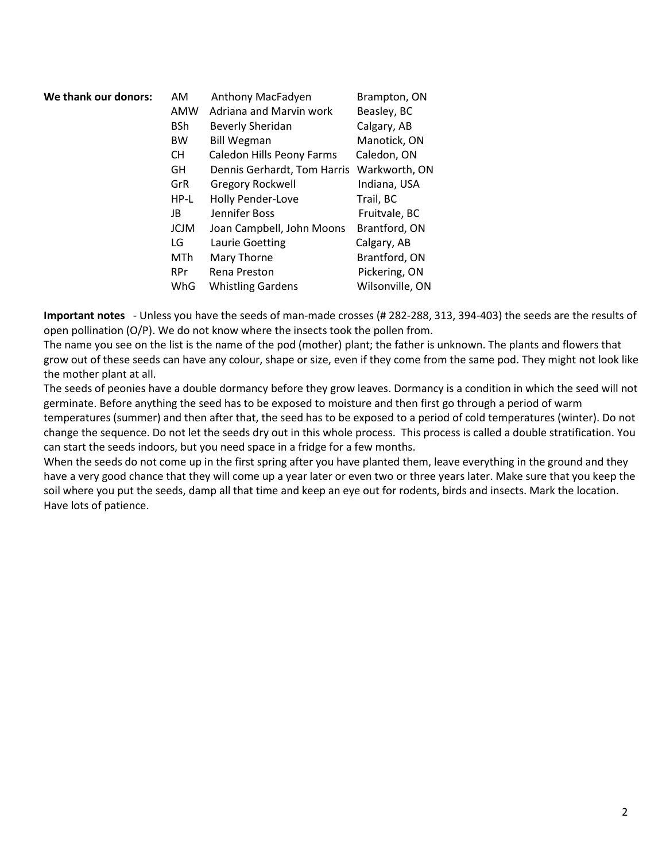| We thank our donors: | AM          | Anthony MacFadyen           | Brampton, ON    |
|----------------------|-------------|-----------------------------|-----------------|
|                      | AMW         | Adriana and Marvin work     | Beasley, BC     |
|                      | <b>BSh</b>  | <b>Beverly Sheridan</b>     | Calgary, AB     |
|                      | <b>BW</b>   | <b>Bill Wegman</b>          | Manotick, ON    |
|                      | CH.         | Caledon Hills Peony Farms   | Caledon, ON     |
|                      | GH          | Dennis Gerhardt, Tom Harris | Warkworth, ON   |
|                      | GrR         | <b>Gregory Rockwell</b>     | Indiana, USA    |
|                      | HP-L        | Holly Pender-Love           | Trail, BC       |
|                      | JB          | Jennifer Boss               | Fruitvale, BC   |
|                      | <b>JCJM</b> | Joan Campbell, John Moons   | Brantford, ON   |
|                      | LG          | Laurie Goetting             | Calgary, AB     |
|                      | MTh         | Mary Thorne                 | Brantford, ON   |
|                      | RPr         | Rena Preston                | Pickering, ON   |
|                      | WhG         | <b>Whistling Gardens</b>    | Wilsonville, ON |
|                      |             |                             |                 |

**Important notes** - Unless you have the seeds of man-made crosses (# 282-288, 313, 394-403) the seeds are the results of open pollination (O/P). We do not know where the insects took the pollen from.

The name you see on the list is the name of the pod (mother) plant; the father is unknown. The plants and flowers that grow out of these seeds can have any colour, shape or size, even if they come from the same pod. They might not look like the mother plant at all.

The seeds of peonies have a double dormancy before they grow leaves. Dormancy is a condition in which the seed will not germinate. Before anything the seed has to be exposed to moisture and then first go through a period of warm

temperatures (summer) and then after that, the seed has to be exposed to a period of cold temperatures (winter). Do not change the sequence. Do not let the seeds dry out in this whole process. This process is called a double stratification. You can start the seeds indoors, but you need space in a fridge for a few months.

When the seeds do not come up in the first spring after you have planted them, leave everything in the ground and they have a very good chance that they will come up a year later or even two or three years later. Make sure that you keep the soil where you put the seeds, damp all that time and keep an eye out for rodents, birds and insects. Mark the location. Have lots of patience.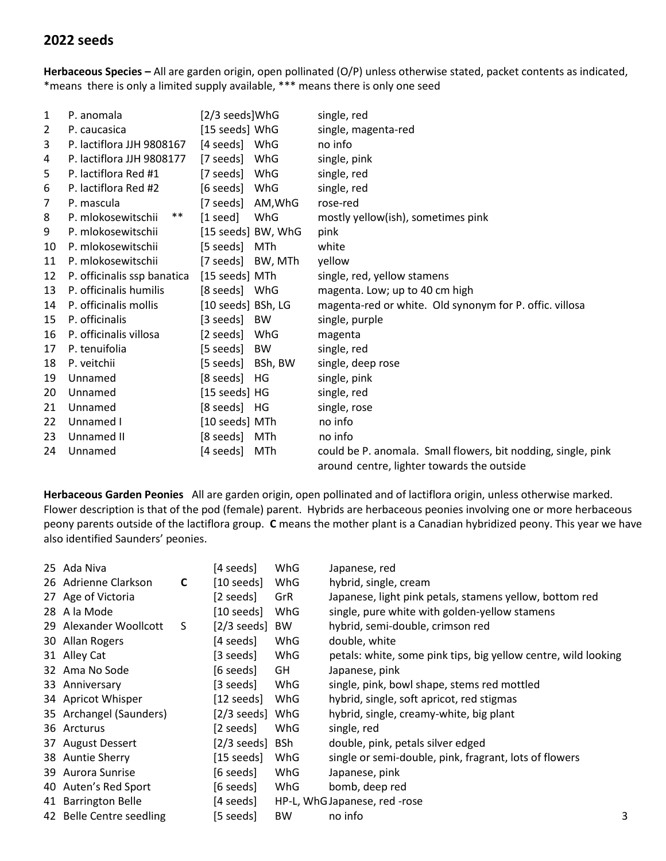## **2022 seeds**

**Herbaceous Species –** All are garden origin, open pollinated (O/P) unless otherwise stated, packet contents as indicated, \*means there is only a limited supply available, \*\*\* means there is only one seed

| 1              | P. anomala                  | [2/3 seeds]WhG            | single, red                                                                                                 |
|----------------|-----------------------------|---------------------------|-------------------------------------------------------------------------------------------------------------|
| $\overline{2}$ | P. caucasica                | [15 seeds] WhG            | single, magenta-red                                                                                         |
| 3              | P. lactiflora JJH 9808167   | [4 seeds] WhG             | no info                                                                                                     |
| 4              | P. lactiflora JJH 9808177   | [7 seeds] WhG             | single, pink                                                                                                |
| 5              | P. lactiflora Red #1        | WhG<br>[7 seeds]          | single, red                                                                                                 |
| 6              | P. lactiflora Red #2        | WhG<br>[6 seeds]          | single, red                                                                                                 |
| 7              | P. mascula                  | [7 seeds]<br>AM,WhG       | rose-red                                                                                                    |
| 8              | $***$<br>P. mlokosewitschii | $[1 \text{ seed}]$<br>WhG | mostly yellow(ish), sometimes pink                                                                          |
| 9              | P. mlokosewitschij          | [15 seeds] BW, WhG        | pink                                                                                                        |
| 10             | P. mlokosewitschii          | [5 seeds]<br>MTh          | white                                                                                                       |
| 11             | P. mlokosewitschij          | [7 seeds] BW, MTh         | yellow                                                                                                      |
| 12             | P. officinalis ssp banatica | [15 seeds] MTh            | single, red, yellow stamens                                                                                 |
| 13             | P. officinalis humilis      | [8 seeds] WhG             | magenta. Low; up to 40 cm high                                                                              |
| 14             | P. officinalis mollis       | [10 seeds] BSh, LG        | magenta-red or white. Old synonym for P. offic. villosa                                                     |
| 15             | P. officinalis              | [3 seeds] BW              | single, purple                                                                                              |
| 16             | P. officinalis villosa      | [2 seeds]<br>WhG          | magenta                                                                                                     |
| 17             | P. tenuifolia               | [5 seeds]<br><b>BW</b>    | single, red                                                                                                 |
| 18             | P. veitchii                 | [5 seeds]<br>BSh, BW      | single, deep rose                                                                                           |
| 19             | Unnamed                     | [8 seeds]<br>HG           | single, pink                                                                                                |
| 20             | Unnamed                     | [15 seeds] HG             | single, red                                                                                                 |
| 21             | Unnamed                     | [8 seeds] HG              | single, rose                                                                                                |
| 22             | Unnamed I                   | [10 seeds] MTh            | no info                                                                                                     |
| 23             | Unnamed II                  | [8 seeds] MTh             | no info                                                                                                     |
| 24             | Unnamed                     | [4 seeds]<br>MTh          | could be P. anomala. Small flowers, bit nodding, single, pink<br>around centre, lighter towards the outside |
|                |                             |                           |                                                                                                             |

**Herbaceous Garden Peonies** All are garden origin, open pollinated and of lactiflora origin, unless otherwise marked. Flower description is that of the pod (female) parent. Hybrids are herbaceous peonies involving one or more herbaceous peony parents outside of the lactiflora group. **C** means the mother plant is a Canadian hybridized peony. This year we have also identified Saunders' peonies.

| 25 Ada Niva              |   | [4 seeds]             | WhG        | Japanese, red                                                  |   |
|--------------------------|---|-----------------------|------------|----------------------------------------------------------------|---|
| 26 Adrienne Clarkson     | C | $[10 \text{ seeds}]$  | WhG        | hybrid, single, cream                                          |   |
| 27 Age of Victoria       |   | [2 seeds]             | GrR        | Japanese, light pink petals, stamens yellow, bottom red        |   |
| 28 A la Mode             |   | [10 seeds]            | WhG        | single, pure white with golden-yellow stamens                  |   |
| 29 Alexander Woollcott   | S | $[2/3 \text{ seeds}]$ | <b>BW</b>  | hybrid, semi-double, crimson red                               |   |
| 30 Allan Rogers          |   | [4 seeds]             | WhG        | double, white                                                  |   |
| 31 Alley Cat             |   | [3 seeds]             | WhG        | petals: white, some pink tips, big yellow centre, wild looking |   |
| 32 Ama No Sode           |   | $[6 \text{ seeds}]$   | GH         | Japanese, pink                                                 |   |
| 33 Anniversary           |   | [3 seeds]             | WhG        | single, pink, bowl shape, stems red mottled                    |   |
| 34 Apricot Whisper       |   | $[12$ seeds]          | WhG        | hybrid, single, soft apricot, red stigmas                      |   |
| 35 Archangel (Saunders)  |   | $[2/3$ seeds]         | WhG        | hybrid, single, creamy-white, big plant                        |   |
| 36 Arcturus              |   | [2 seeds]             | WhG        | single, red                                                    |   |
| 37 August Dessert        |   | $[2/3$ seeds]         | <b>BSh</b> | double, pink, petals silver edged                              |   |
| 38 Auntie Sherry         |   | $[15 \text{ seeds}]$  | WhG        | single or semi-double, pink, fragrant, lots of flowers         |   |
| 39 Aurora Sunrise        |   | [6 seeds]             | WhG        | Japanese, pink                                                 |   |
| 40 Auten's Red Sport     |   | [6 seeds]             | WhG        | bomb, deep red                                                 |   |
| 41 Barrington Belle      |   | [4 seeds]             |            | HP-L, WhG Japanese, red -rose                                  |   |
| 42 Belle Centre seedling |   | [5 seeds]             | <b>BW</b>  | no info                                                        | 3 |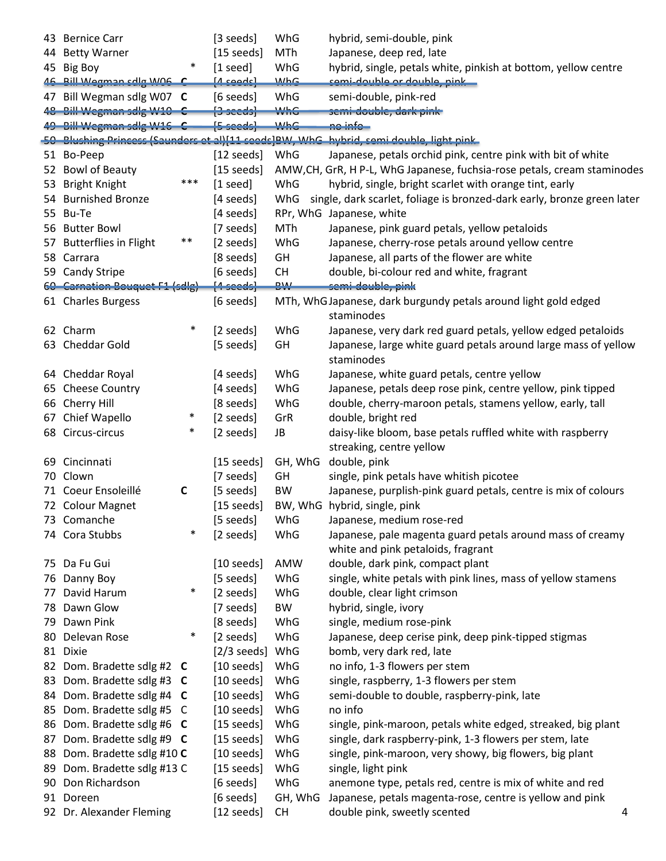|    | 43 Bernice Carr                |        | [3 seeds]                 | WhG        | hybrid, semi-double, pink                                                              |  |
|----|--------------------------------|--------|---------------------------|------------|----------------------------------------------------------------------------------------|--|
|    | 44 Betty Warner                |        | $[15$ seeds]              | MTh        | Japanese, deep red, late                                                               |  |
|    | 45 Big Boy                     | $\ast$ | $[1 \text{ seed}]$        | WhG        | hybrid, single, petals white, pinkish at bottom, yellow centre                         |  |
|    | 46 Bill Wegman sdlg W06 C      |        | <u> [4 seeds]</u>         | <b>WhG</b> | semi-double or double, pink                                                            |  |
|    | 47 Bill Wegman sdlg W07 C      |        | [6 seeds]                 | WhG        | semi-double, pink-red                                                                  |  |
|    | 48 Bill Wegman sdig W10 C      |        | $\left\{3 \right.$ seeds) | <b>WhG</b> | semi-double, dark pink                                                                 |  |
|    | 49 Bill Wegman sdig W16 C      |        | [5 seeds]                 | MhG        | <u>no info-</u>                                                                        |  |
|    |                                |        |                           |            | 50 Blushing Princess (Saunders et al)[11 seeds]BW, WhG hybrid, semi double, light pink |  |
|    | 51 Bo-Peep                     |        | [12 seeds]                | WhG        | Japanese, petals orchid pink, centre pink with bit of white                            |  |
|    | 52 Bowl of Beauty              |        | $[15$ seeds]              |            | AMW, CH, GrR, H P-L, WhG Japanese, fuchsia-rose petals, cream staminodes               |  |
|    | 53 Bright Knight               | ***    | $[1 \text{ seed}]$        | WhG        | hybrid, single, bright scarlet with orange tint, early                                 |  |
|    | 54 Burnished Bronze            |        | [4 seeds]                 | WhG        | single, dark scarlet, foliage is bronzed-dark early, bronze green later                |  |
|    | 55 Bu-Te                       |        | [4 seeds]                 |            | RPr, WhG Japanese, white                                                               |  |
|    | 56 Butter Bowl                 |        | [7 seeds]                 | <b>MTh</b> | Japanese, pink guard petals, yellow petaloids                                          |  |
|    |                                | $***$  |                           |            |                                                                                        |  |
|    | 57 Butterflies in Flight       |        | [2 seeds]                 | WhG        | Japanese, cherry-rose petals around yellow centre                                      |  |
|    | 58 Carrara                     |        | [8 seeds]                 | GH         | Japanese, all parts of the flower are white                                            |  |
|    | 59 Candy Stripe                |        | [6 seeds]                 | <b>CH</b>  | double, bi-colour red and white, fragrant                                              |  |
|    | 60 Carnation Bouquet F1 (sdlg) |        | $[4 \text{ seeds}]$       | <b>DW</b>  | semi double, pink                                                                      |  |
|    | 61 Charles Burgess             |        | [6 seeds]                 |            | MTh, WhG Japanese, dark burgundy petals around light gold edged<br>staminodes          |  |
|    | 62 Charm                       | $\ast$ | [2 seeds]                 | WhG        | Japanese, very dark red guard petals, yellow edged petaloids                           |  |
|    | 63 Cheddar Gold                |        | [5 seeds]                 | GH         | Japanese, large white guard petals around large mass of yellow                         |  |
|    |                                |        |                           |            | staminodes                                                                             |  |
|    | 64 Cheddar Royal               |        | [4 seeds]                 | WhG        | Japanese, white guard petals, centre yellow                                            |  |
|    | 65 Cheese Country              |        | [4 seeds]                 | WhG        | Japanese, petals deep rose pink, centre yellow, pink tipped                            |  |
| 66 | Cherry Hill                    |        | [8 seeds]                 | WhG        | double, cherry-maroon petals, stamens yellow, early, tall                              |  |
| 67 | Chief Wapello                  | $\ast$ | [2 seeds]                 | GrR        | double, bright red                                                                     |  |
| 68 | Circus-circus                  | $\ast$ | [2 seeds]                 | JB         | daisy-like bloom, base petals ruffled white with raspberry<br>streaking, centre yellow |  |
| 69 | Cincinnati                     |        | $[15 \text{ seeds}]$      | GH, WhG    | double, pink                                                                           |  |
|    | 70 Clown                       |        | [7 seeds]                 | GH         | single, pink petals have whitish picotee                                               |  |
|    | 71 Coeur Ensoleillé            | C      | [5 seeds]                 | BW         | Japanese, purplish-pink guard petals, centre is mix of colours                         |  |
|    | 72 Colour Magnet               |        | $[15$ seeds]              |            | BW, WhG hybrid, single, pink                                                           |  |
|    | 73 Comanche                    |        | [5 seeds]                 | WhG        | Japanese, medium rose-red                                                              |  |
|    | 74 Cora Stubbs                 | $\ast$ | [2 seeds]                 | WhG        | Japanese, pale magenta guard petals around mass of creamy                              |  |
|    |                                |        |                           |            | white and pink petaloids, fragrant                                                     |  |
|    | 75 Da Fu Gui                   |        | $[10 \text{ seeds}]$      | <b>AMW</b> | double, dark pink, compact plant                                                       |  |
|    | 76 Danny Boy                   |        | [5 seeds]                 | WhG        | single, white petals with pink lines, mass of yellow stamens                           |  |
|    | 77 David Harum                 | $\ast$ | [2 seeds]                 | WhG        | double, clear light crimson                                                            |  |
|    | 78 Dawn Glow                   |        | [7 seeds]                 | BW         | hybrid, single, ivory                                                                  |  |
|    | 79 Dawn Pink                   |        | [8 seeds]                 | WhG        | single, medium rose-pink                                                               |  |
|    | 80 Delevan Rose                | $\ast$ | [2 seeds]                 | WhG        | Japanese, deep cerise pink, deep pink-tipped stigmas                                   |  |
|    | 81 Dixie                       |        | $[2/3$ seeds]             | WhG        | bomb, very dark red, late                                                              |  |
|    | 82 Dom. Bradette sdlg #2 C     |        | $[10 \text{ seeds}]$      | WhG        | no info, 1-3 flowers per stem                                                          |  |
|    | 83 Dom. Bradette sdlg #3 C     |        | $[10 \text{ seeds}]$      | WhG        | single, raspberry, 1-3 flowers per stem                                                |  |
|    | 84 Dom. Bradette sdlg #4 C     |        | $[10 \text{ seeds}]$      | WhG        | semi-double to double, raspberry-pink, late                                            |  |
|    | 85 Dom. Bradette sdlg #5 C     |        | $[10 \text{ seeds}]$      | WhG        | no info                                                                                |  |
|    | 86 Dom. Bradette sdlg #6 C     |        | $[15 \text{ seeds}]$      | WhG        | single, pink-maroon, petals white edged, streaked, big plant                           |  |
|    | 87 Dom. Bradette sdlg #9 C     |        | $[15 \text{ seeds}]$      | WhG        | single, dark raspberry-pink, 1-3 flowers per stem, late                                |  |
|    | 88 Dom. Bradette sdlg #10 C    |        | $[10 \text{ seeds}]$      | WhG        | single, pink-maroon, very showy, big flowers, big plant                                |  |
| 89 | Dom. Bradette sdlg #13 C       |        | $[15$ seeds]              | WhG        | single, light pink                                                                     |  |
|    | 90 Don Richardson              |        | [6 seeds]                 | WhG        | anemone type, petals red, centre is mix of white and red                               |  |
|    | 91 Doreen                      |        | [6 seeds]                 | GH, WhG    | Japanese, petals magenta-rose, centre is yellow and pink                               |  |
|    | 92 Dr. Alexander Fleming       |        | $[12$ seeds]              | <b>CH</b>  | double pink, sweetly scented<br>4                                                      |  |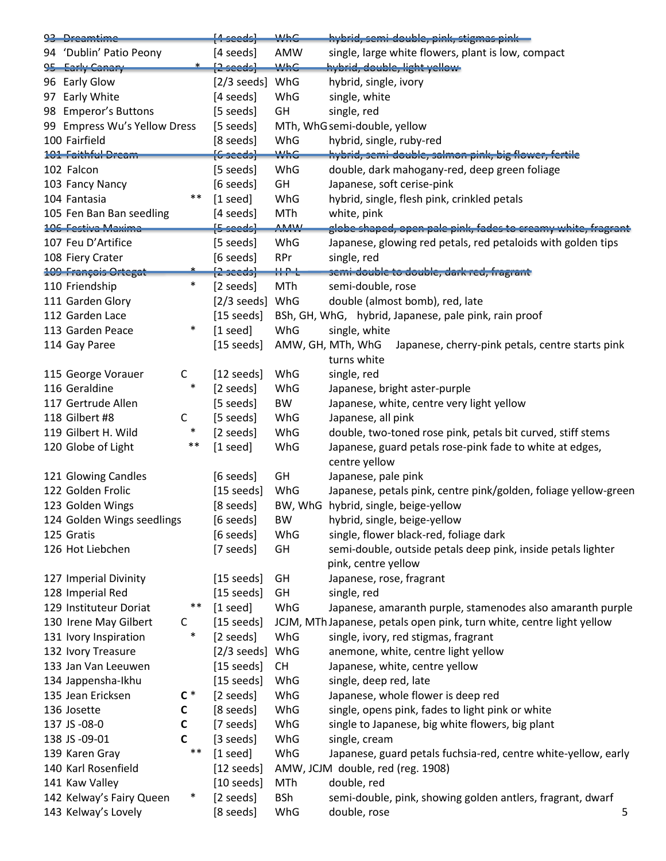| 93 Dreamtime                 |                   | $[4 \text{ seeds}]$       | <b>WhC</b>             | hybrid, semi-double, pink, stigmas pink-                                  |
|------------------------------|-------------------|---------------------------|------------------------|---------------------------------------------------------------------------|
| 94 'Dublin' Patio Peony      |                   | [4 seeds]                 | AMW                    | single, large white flowers, plant is low, compact                        |
| 95 Early Canary              |                   | $[2 \text{ seeds}]$       | <b>WhC</b>             | hybrid, double, light yellow                                              |
| 96 Early Glow                |                   | $[2/3 \text{ seeds}]$ WhG |                        | hybrid, single, ivory                                                     |
| 97 Early White               |                   | [4 seeds]                 | WhG                    | single, white                                                             |
| 98 Emperor's Buttons         |                   | $[5 \text{ seeds}]$       | GH                     | single, red                                                               |
| 99 Empress Wu's Yellow Dress |                   | $[5 \text{ seeds}]$       |                        | MTh, WhG semi-double, yellow                                              |
| 100 Fairfield                |                   | [8 seeds]                 | WhG                    | hybrid, single, ruby-red                                                  |
| 101 Faithful Dream           |                   | $[6$ seeds $]$            | <b>WhG</b>             | hybrid, semi-double, salmon pink, big flower, fertile                     |
| 102 Falcon                   |                   | [5 seeds]                 | WhG                    | double, dark mahogany-red, deep green foliage                             |
| 103 Fancy Nancy              |                   | $[6 \text{ seeds}]$       | GH                     | Japanese, soft cerise-pink                                                |
| 104 Fantasia                 | **                | $[1 \text{ seed}]$        | WhG                    | hybrid, single, flesh pink, crinkled petals                               |
| 105 Fen Ban Ban seedling     |                   | [4 seeds]                 | MTh                    | white, pink                                                               |
| 106 Festiva Maxima           |                   | $[5 \text{ seeds}]$       | $\Lambda_{\text{MAX}}$ | globe shaped, open pale pink, fades to creamy white, fragrant             |
| 107 Feu D'Artifice           |                   | $[5 \text{ seeds}]$       | WhG                    | Japanese, glowing red petals, red petaloids with golden tips              |
| 108 Fiery Crater             |                   | [6 seeds]                 | <b>RPr</b>             | single, red                                                               |
| <b>109 François Ortegat</b>  |                   | $[2 \text{ seconds}]$     | ti Prin                | semi-double to double, dark red, fragrant                                 |
| 110 Friendship               | $\ast$            | [2 seeds]                 | <b>MTh</b>             | semi-double, rose                                                         |
| 111 Garden Glory             |                   | $[2/3 \text{ seeds}]$ WhG |                        | double (almost bomb), red, late                                           |
| 112 Garden Lace              |                   | $[15 \text{ seeds}]$      |                        | BSh, GH, WhG, hybrid, Japanese, pale pink, rain proof                     |
| 113 Garden Peace             | $\ast$            | $[1 \text{ seed}]$        | WhG                    | single, white                                                             |
| 114 Gay Paree                |                   | $[15 \text{ seeds}]$      |                        | AMW, GH, MTh, WhG<br>Japanese, cherry-pink petals, centre starts pink     |
|                              |                   |                           |                        | turns white                                                               |
| 115 George Vorauer           | C                 | $[12 \text{ seeds}]$      | WhG                    | single, red                                                               |
| 116 Geraldine                | $\ast$            | [2 seeds]                 | WhG                    | Japanese, bright aster-purple                                             |
| 117 Gertrude Allen           |                   | [5 seeds]                 | BW                     | Japanese, white, centre very light yellow                                 |
| 118 Gilbert #8               | C                 | [5 seeds]                 | WhG                    | Japanese, all pink                                                        |
| 119 Gilbert H. Wild          | $\ast$            |                           | WhG                    |                                                                           |
|                              | $***$             | [2 seeds]                 | WhG                    | double, two-toned rose pink, petals bit curved, stiff stems               |
| 120 Globe of Light           |                   | $[1 \text{ seed}]$        |                        | Japanese, guard petals rose-pink fade to white at edges,<br>centre yellow |
| 121 Glowing Candles          |                   | $[6 \text{ seeds}]$       | GH                     | Japanese, pale pink                                                       |
| 122 Golden Frolic            |                   | $[15 \text{ seeds}]$      | WhG                    | Japanese, petals pink, centre pink/golden, foliage yellow-green           |
| 123 Golden Wings             |                   | [8 seeds]                 |                        | BW, WhG hybrid, single, beige-yellow                                      |
| 124 Golden Wings seedlings   |                   | [6 seeds]                 | BW                     | hybrid, single, beige-yellow                                              |
| 125 Gratis                   |                   | [6 seeds]                 | WhG                    | single, flower black-red, foliage dark                                    |
| 126 Hot Liebchen             |                   | [7 seeds]                 | GH                     | semi-double, outside petals deep pink, inside petals lighter              |
|                              |                   |                           |                        | pink, centre yellow                                                       |
| 127 Imperial Divinity        |                   | $[15$ seeds]              | GH                     | Japanese, rose, fragrant                                                  |
| 128 Imperial Red             |                   | $[15 \text{ seeds}]$      | GH                     | single, red                                                               |
| 129 Instituteur Doriat       | $***$             | $[1 \text{ seed}]$        | WhG                    | Japanese, amaranth purple, stamenodes also amaranth purple                |
| 130 Irene May Gilbert        |                   | $[15 \text{ seeds}]$      |                        | JCJM, MTh Japanese, petals open pink, turn white, centre light yellow     |
| 131 Ivory Inspiration        | C<br>$\ast$       |                           | WhG                    |                                                                           |
|                              |                   | [2 seeds]                 |                        | single, ivory, red stigmas, fragrant                                      |
| 132 Ivory Treasure           |                   | [2/3 seeds] WhG           |                        | anemone, white, centre light yellow                                       |
| 133 Jan Van Leeuwen          |                   | $[15$ seeds]              | <b>CH</b>              | Japanese, white, centre yellow                                            |
| 134 Jappensha-Ikhu           |                   | $[15 \text{ seeds}]$      | WhG                    | single, deep red, late                                                    |
| 135 Jean Ericksen            | $\mathsf{C}$ $^*$ | [2 seeds]                 | WhG                    | Japanese, whole flower is deep red                                        |
| 136 Josette                  | $\mathbf c$       | [8 seeds]                 | WhG                    | single, opens pink, fades to light pink or white                          |
| 137 JS-08-0                  | $\mathbf c$       | [7 seeds]                 | WhG                    | single to Japanese, big white flowers, big plant                          |
| 138 JS-09-01                 | C                 | $[3 \text{ seeds}]$       | WhG                    | single, cream                                                             |
| 139 Karen Gray               | $***$             | $[1 \text{ seed}]$        | WhG                    | Japanese, guard petals fuchsia-red, centre white-yellow, early            |
| 140 Karl Rosenfield          |                   | $[12 \text{ seeds}]$      |                        | AMW, JCJM double, red (reg. 1908)                                         |
| 141 Kaw Valley               |                   | $[10 \text{ seeds}]$      | MTh                    | double, red                                                               |
| 142 Kelway's Fairy Queen     | $\ast$            | [2 seeds]                 | <b>BSh</b>             | semi-double, pink, showing golden antlers, fragrant, dwarf                |
| 143 Kelway's Lovely          |                   | [8 seeds]                 | WhG                    | double, rose<br>5                                                         |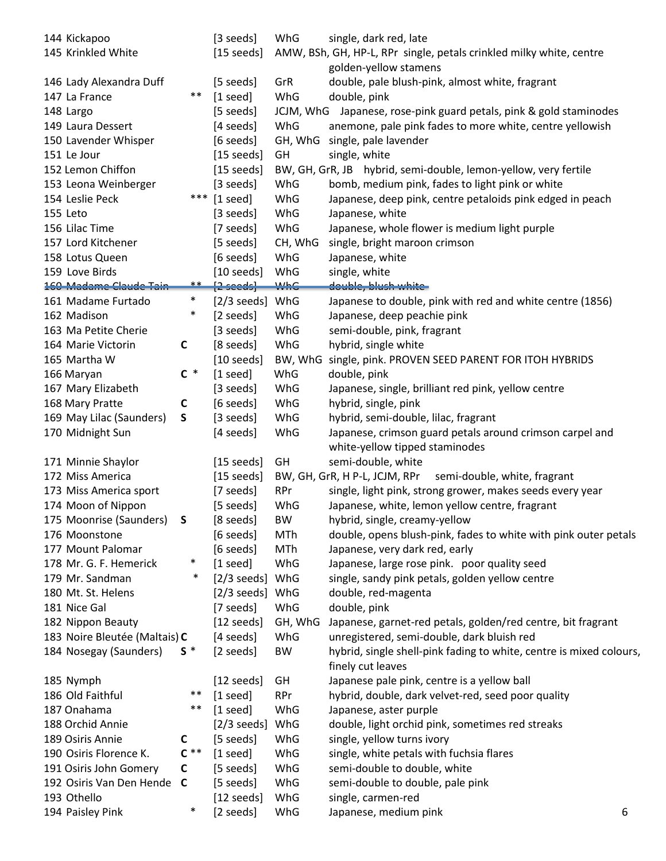| 144 Kickapoo<br>145 Krinkled White       |              | [3 seeds]<br>$[15 \text{ seeds}]$            | WhG        | single, dark red, late<br>AMW, BSh, GH, HP-L, RPr single, petals crinkled milky white, centre                                  |   |
|------------------------------------------|--------------|----------------------------------------------|------------|--------------------------------------------------------------------------------------------------------------------------------|---|
|                                          |              |                                              |            | golden-yellow stamens                                                                                                          |   |
| 146 Lady Alexandra Duff<br>147 La France | $***$        | [5 seeds]                                    | GrR<br>WhG | double, pale blush-pink, almost white, fragrant<br>double, pink                                                                |   |
| 148 Largo                                |              | $[1 \text{ seed}]$<br>[5 seeds]              |            |                                                                                                                                |   |
| 149 Laura Dessert                        |              | [4 seeds]                                    | WhG        | JCJM, WhG Japanese, rose-pink guard petals, pink & gold staminodes<br>anemone, pale pink fades to more white, centre yellowish |   |
|                                          |              |                                              | GH, WhG    | single, pale lavender                                                                                                          |   |
| 150 Lavender Whisper<br>151 Le Jour      |              | [6 seeds]                                    | GH         |                                                                                                                                |   |
| 152 Lemon Chiffon                        |              | $[15 \text{ seeds}]$<br>$[15 \text{ seeds}]$ |            | single, white<br>BW, GH, GrR, JB hybrid, semi-double, lemon-yellow, very fertile                                               |   |
|                                          |              |                                              |            |                                                                                                                                |   |
| 153 Leona Weinberger                     |              | [3 seeds]                                    | WhG        | bomb, medium pink, fades to light pink or white                                                                                |   |
| 154 Leslie Peck                          |              | *** [1 seed]                                 | WhG        | Japanese, deep pink, centre petaloids pink edged in peach                                                                      |   |
| 155 Leto                                 |              | [3 seeds]                                    | WhG        | Japanese, white                                                                                                                |   |
| 156 Lilac Time                           |              | [7 seeds]                                    | WhG        | Japanese, whole flower is medium light purple                                                                                  |   |
| 157 Lord Kitchener                       |              | [5 seeds]                                    | CH, WhG    | single, bright maroon crimson                                                                                                  |   |
| 158 Lotus Queen                          |              | [6 seeds]                                    | WhG        | Japanese, white                                                                                                                |   |
| 159 Love Birds                           |              | $[10 \text{ seeds}]$                         | WhG        | single, white                                                                                                                  |   |
| 160 Madame Claude Tain                   | $***$        | $[2 \text{ seeds}]$                          | <b>WhG</b> | double, blush white-                                                                                                           |   |
| 161 Madame Furtado                       | $\ast$       | $[2/3 \text{ seeds}]$ WhG                    |            | Japanese to double, pink with red and white centre (1856)                                                                      |   |
| 162 Madison                              | $\ast$       | [2 seeds]                                    | WhG        | Japanese, deep peachie pink                                                                                                    |   |
| 163 Ma Petite Cherie                     |              | [3 seeds]                                    | WhG        | semi-double, pink, fragrant                                                                                                    |   |
| 164 Marie Victorin                       | $\mathsf{C}$ | [8 seeds]                                    | WhG        | hybrid, single white                                                                                                           |   |
| 165 Martha W                             |              | $[10 \text{ seeds}]$                         | BW, WhG    | single, pink. PROVEN SEED PARENT FOR ITOH HYBRIDS                                                                              |   |
| 166 Maryan                               | $C^*$        | $[1 \text{ seed}]$                           | WhG        | double, pink                                                                                                                   |   |
| 167 Mary Elizabeth                       |              | [3 seeds]                                    | WhG        | Japanese, single, brilliant red pink, yellow centre                                                                            |   |
| 168 Mary Pratte                          | C            | [6 seeds]                                    | WhG        | hybrid, single, pink                                                                                                           |   |
| 169 May Lilac (Saunders)                 | S            | [3 seeds]                                    | WhG        | hybrid, semi-double, lilac, fragrant                                                                                           |   |
| 170 Midnight Sun                         |              | [4 seeds]                                    | WhG        | Japanese, crimson guard petals around crimson carpel and<br>white-yellow tipped staminodes                                     |   |
| 171 Minnie Shaylor                       |              | $[15 \text{ seeds}]$                         | GH         | semi-double, white                                                                                                             |   |
| 172 Miss America                         |              | $[15 \text{ seeds}]$                         |            | BW, GH, GrR, H P-L, JCJM, RPr<br>semi-double, white, fragrant                                                                  |   |
| 173 Miss America sport                   |              | [7 seeds]                                    | <b>RPr</b> | single, light pink, strong grower, makes seeds every year                                                                      |   |
| 174 Moon of Nippon                       |              | [5 seeds]                                    | WhG        | Japanese, white, lemon yellow centre, fragrant                                                                                 |   |
| 175 Moonrise (Saunders)                  | S            | [8 seeds]                                    | <b>BW</b>  | hybrid, single, creamy-yellow                                                                                                  |   |
| 176 Moonstone                            |              | [6 seeds]                                    | MTh        | double, opens blush-pink, fades to white with pink outer petals                                                                |   |
| 177 Mount Palomar                        |              | [6 seeds]                                    | MTh        | Japanese, very dark red, early                                                                                                 |   |
| 178 Mr. G. F. Hemerick                   | $\ast$       | $[1 \text{ seed}]$                           | WhG        | Japanese, large rose pink. poor quality seed                                                                                   |   |
| 179 Mr. Sandman                          | $\ast$       | $[2/3 \text{ seeds}]$ WhG                    |            | single, sandy pink petals, golden yellow centre                                                                                |   |
| 180 Mt. St. Helens                       |              | $[2/3 \text{ seeds}]$ WhG                    |            | double, red-magenta                                                                                                            |   |
| 181 Nice Gal                             |              | [7 seeds]                                    | WhG        | double, pink                                                                                                                   |   |
| 182 Nippon Beauty                        |              | $[12 \text{ seeds}]$                         | GH, WhG    | Japanese, garnet-red petals, golden/red centre, bit fragrant                                                                   |   |
| 183 Noire Bleutée (Maltais) C            |              | [4 seeds]                                    | WhG        | unregistered, semi-double, dark bluish red                                                                                     |   |
| 184 Nosegay (Saunders)                   | $S^*$        | [2 seeds]                                    | BW         | hybrid, single shell-pink fading to white, centre is mixed colours,<br>finely cut leaves                                       |   |
| 185 Nymph                                |              | $[12 \text{ seeds}]$                         | GH         | Japanese pale pink, centre is a yellow ball                                                                                    |   |
| 186 Old Faithful                         | $***$        | $[1 \text{ seed}]$                           | <b>RPr</b> | hybrid, double, dark velvet-red, seed poor quality                                                                             |   |
| 187 Onahama                              | **           | $[1 \text{ seed}]$                           | WhG        | Japanese, aster purple                                                                                                         |   |
| 188 Orchid Annie                         |              | [2/3 seeds] WhG                              |            | double, light orchid pink, sometimes red streaks                                                                               |   |
| 189 Osiris Annie                         | C            | [5 seeds]                                    | WhG        | single, yellow turns ivory                                                                                                     |   |
| 190 Osiris Florence K.                   | $C**$        | $[1 \text{ seed}]$                           | WhG        | single, white petals with fuchsia flares                                                                                       |   |
| 191 Osiris John Gomery                   | $\mathsf{C}$ | [5 seeds]                                    | WhG        | semi-double to double, white                                                                                                   |   |
| 192 Osiris Van Den Hende C               |              | [5 seeds]                                    | WhG        | semi-double to double, pale pink                                                                                               |   |
| 193 Othello                              |              | $[12 \text{ seeds}]$                         | WhG        | single, carmen-red                                                                                                             |   |
| 194 Paisley Pink                         | $\ast$       | [2 seeds]                                    | WhG        | Japanese, medium pink                                                                                                          | 6 |
|                                          |              |                                              |            |                                                                                                                                |   |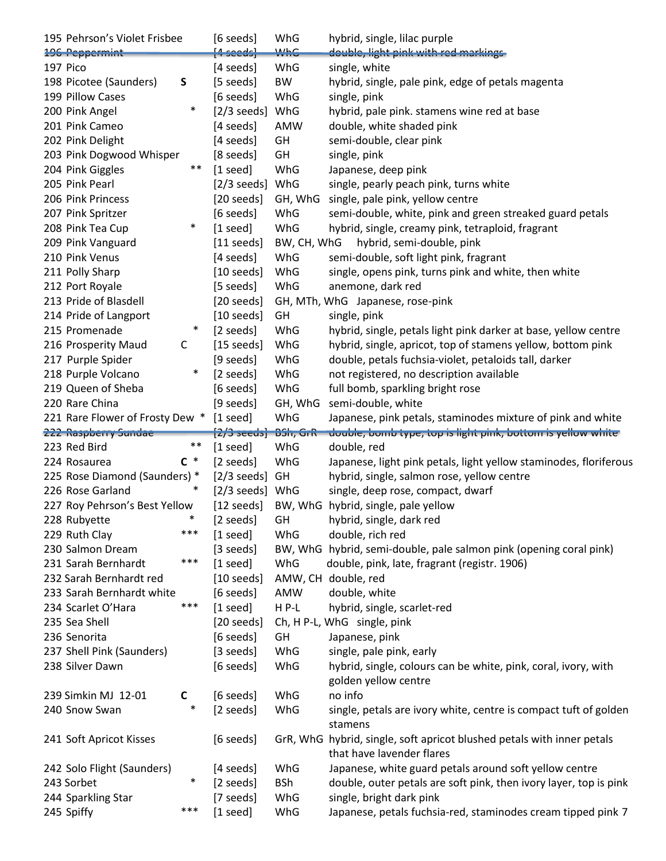| 195 Pehrson's Violet Frisbee     |        | [6 seeds]                          | WhG         | hybrid, single, lilac purple                                                             |
|----------------------------------|--------|------------------------------------|-------------|------------------------------------------------------------------------------------------|
| 196 Peppermint                   |        | $\{4 \text{ seeds}\}$              | <b>WhC</b>  | double, light pink with red markings-                                                    |
| 197 Pico                         |        | [4 seeds]                          | WhG         | single, white                                                                            |
| 198 Picotee (Saunders)           | S      | [5 seeds]                          | BW          | hybrid, single, pale pink, edge of petals magenta                                        |
| 199 Pillow Cases                 |        | [6 seeds]                          | WhG         | single, pink                                                                             |
| 200 Pink Angel                   | $\ast$ | $[2/3$ seeds]                      | WhG         | hybrid, pale pink. stamens wine red at base                                              |
| 201 Pink Cameo                   |        | [4 seeds]                          | AMW         | double, white shaded pink                                                                |
| 202 Pink Delight                 |        | [4 seeds]                          | GH          | semi-double, clear pink                                                                  |
| 203 Pink Dogwood Whisper         |        | [8 seeds]                          | GH          | single, pink                                                                             |
| 204 Pink Giggles                 | $***$  | $[1$ seed]                         | WhG         | Japanese, deep pink                                                                      |
| 205 Pink Pearl                   |        | $[2/3$ seeds]                      | WhG         | single, pearly peach pink, turns white                                                   |
| 206 Pink Princess                |        | $[20 \text{ seeds}]$               | GH, WhG     | single, pale pink, yellow centre                                                         |
| 207 Pink Spritzer                |        | [6 seeds]                          | WhG         | semi-double, white, pink and green streaked guard petals                                 |
| 208 Pink Tea Cup                 | $\ast$ | $[1 \text{ seed}]$                 | WhG         | hybrid, single, creamy pink, tetraploid, fragrant                                        |
| 209 Pink Vanguard                |        | $[11$ seeds]                       | BW, CH, WhG | hybrid, semi-double, pink                                                                |
| 210 Pink Venus                   |        | $[4$ seeds]                        | WhG         | semi-double, soft light pink, fragrant                                                   |
| 211 Polly Sharp                  |        | $[10 \text{ seeds}]$               | WhG         | single, opens pink, turns pink and white, then white                                     |
| 212 Port Royale                  |        | [5 seeds]                          | WhG         | anemone, dark red                                                                        |
| 213 Pride of Blasdell            |        | $[20 \text{ seeds}]$               |             | GH, MTh, WhG Japanese, rose-pink                                                         |
| 214 Pride of Langport            |        | $[10 \text{ seeds}]$               | GH          | single, pink                                                                             |
| 215 Promenade                    | $\ast$ | [2 seeds]                          | WhG         | hybrid, single, petals light pink darker at base, yellow centre                          |
| 216 Prosperity Maud              | C      | $[15 \text{ seeds}]$               | WhG         | hybrid, single, apricot, top of stamens yellow, bottom pink                              |
| 217 Purple Spider                |        | [9 seeds]                          | WhG         | double, petals fuchsia-violet, petaloids tall, darker                                    |
| 218 Purple Volcano               | $\ast$ | [2 seeds]                          | WhG         | not registered, no description available                                                 |
| 219 Queen of Sheba               |        | [6 seeds]                          | WhG         | full bomb, sparkling bright rose                                                         |
| 220 Rare China                   |        |                                    |             |                                                                                          |
| 221 Rare Flower of Frosty Dew *  |        | [9 seeds]                          | GH, WhG     | semi-double, white<br>Japanese, pink petals, staminodes mixture of pink and white        |
|                                  |        | $[1 \text{ seed}]$                 | WhG         |                                                                                          |
|                                  |        |                                    |             |                                                                                          |
| 222 Raspberry Sundae             |        | $[2/3 \text{ seconds}]$ $BSh, GrR$ |             | double, bomb type, top is light pink, bottom is yellow white                             |
| 223 Red Bird                     | **     | $[1 \text{ seed}]$                 | WhG         | double, red                                                                              |
| 224 Rosaurea                     | $C^*$  | [2 seeds]                          | WhG         | Japanese, light pink petals, light yellow staminodes, floriferous                        |
| 225 Rose Diamond (Saunders) *    |        | $[2/3$ seeds]                      | GH          | hybrid, single, salmon rose, yellow centre                                               |
| 226 Rose Garland                 | $\ast$ | $[2/3 \text{ seeds}]$ WhG          |             | single, deep rose, compact, dwarf                                                        |
| 227 Roy Pehrson's Best Yellow    |        | $[12 \text{ seeds}]$               |             | BW, WhG hybrid, single, pale yellow                                                      |
| 228 Rubyette                     |        | [2 seeds]                          | GH          | hybrid, single, dark red                                                                 |
| 229 Ruth Clay                    | ***    | $[1 \text{ seed}]$                 | WhG         | double, rich red                                                                         |
| 230 Salmon Dream                 |        | [3 seeds]                          |             | BW, WhG hybrid, semi-double, pale salmon pink (opening coral pink)                       |
| 231 Sarah Bernhardt              | ***    | $[1 \text{ seed}]$                 | WhG         | double, pink, late, fragrant (registr. 1906)                                             |
| 232 Sarah Bernhardt red          |        | $[10 \text{ seeds}]$               |             | AMW, CH double, red                                                                      |
| 233 Sarah Bernhardt white        |        | [6 seeds]                          | AMW         | double, white                                                                            |
| 234 Scarlet O'Hara               | ***    | $[1 \text{ seed}]$                 | HP-L        | hybrid, single, scarlet-red                                                              |
| 235 Sea Shell                    |        | $[20 \text{ seeds}]$               |             | Ch, H P-L, WhG single, pink                                                              |
| 236 Senorita                     |        | [6 seeds]                          | GH          | Japanese, pink                                                                           |
| 237 Shell Pink (Saunders)        |        | [3 seeds]                          | WhG         | single, pale pink, early                                                                 |
| 238 Silver Dawn                  |        | [6 seeds]                          | WhG         | hybrid, single, colours can be white, pink, coral, ivory, with                           |
|                                  |        |                                    |             | golden yellow centre                                                                     |
| 239 Simkin MJ 12-01              | C      | [6 seeds]                          | WhG         | no info                                                                                  |
| 240 Snow Swan                    | $\ast$ | [2 seeds]                          | WhG         | single, petals are ivory white, centre is compact tuft of golden                         |
|                                  |        |                                    |             | stamens                                                                                  |
| 241 Soft Apricot Kisses          |        | [6 seeds]                          |             | GrR, WhG hybrid, single, soft apricot blushed petals with inner petals                   |
|                                  |        |                                    |             | that have lavender flares                                                                |
| 242 Solo Flight (Saunders)       | $\ast$ | [4 seeds]                          | WhG         | Japanese, white guard petals around soft yellow centre                                   |
| 243 Sorbet                       |        | [2 seeds]                          | <b>BSh</b>  | double, outer petals are soft pink, then ivory layer, top is pink                        |
| 244 Sparkling Star<br>245 Spiffy | ***    | [7 seeds]<br>$[1 \text{ seed}]$    | WhG<br>WhG  | single, bright dark pink<br>Japanese, petals fuchsia-red, staminodes cream tipped pink 7 |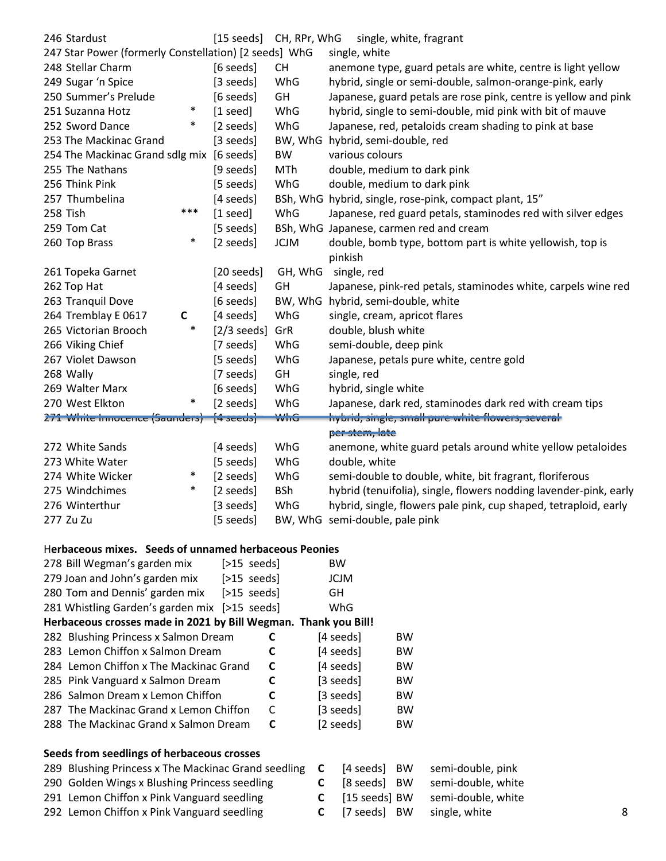| 246 Stardust                                          | $[15 \text{ seeds}]$   | CH, RPr, WhG | single, white, fragrant                                           |
|-------------------------------------------------------|------------------------|--------------|-------------------------------------------------------------------|
| 247 Star Power (formerly Constellation) [2 seeds] WhG |                        |              | single, white                                                     |
| 248 Stellar Charm                                     | [6 seeds]<br><b>CH</b> |              | anemone type, guard petals are white, centre is light yellow      |
| 249 Sugar 'n Spice                                    | [3 seeds]              | WhG          | hybrid, single or semi-double, salmon-orange-pink, early          |
| 250 Summer's Prelude                                  | [6 seeds]              | GH           | Japanese, guard petals are rose pink, centre is yellow and pink   |
| $\ast$<br>251 Suzanna Hotz                            | $[1 \text{ seed}]$     | WhG          | hybrid, single to semi-double, mid pink with bit of mauve         |
| $\ast$<br>252 Sword Dance                             | [2 seeds]              | WhG          | Japanese, red, petaloids cream shading to pink at base            |
| 253 The Mackinac Grand                                | [3 seeds]              |              | BW, WhG hybrid, semi-double, red                                  |
| 254 The Mackinac Grand sdlg mix [6 seeds]             |                        | <b>BW</b>    | various colours                                                   |
| 255 The Nathans                                       | [9 seeds]              | <b>MTh</b>   | double, medium to dark pink                                       |
| 256 Think Pink                                        | [5 seeds]              | WhG          | double, medium to dark pink                                       |
| 257 Thumbelina                                        | [4 seeds]              |              | BSh, WhG hybrid, single, rose-pink, compact plant, 15"            |
| ***<br>258 Tish                                       | $[1$ seed]             | WhG          | Japanese, red guard petals, staminodes red with silver edges      |
| 259 Tom Cat                                           | [5 seeds]              |              | BSh, WhG Japanese, carmen red and cream                           |
| $\ast$<br>260 Top Brass                               | [2 seeds]              | <b>JCJM</b>  | double, bomb type, bottom part is white yellowish, top is         |
|                                                       |                        |              | pinkish                                                           |
| 261 Topeka Garnet                                     | $[20 \text{ seeds}]$   | GH, WhG      | single, red                                                       |
| 262 Top Hat                                           | [4 seeds]              | GH           | Japanese, pink-red petals, staminodes white, carpels wine red     |
| 263 Tranquil Dove                                     | [6 seeds]              |              | BW, WhG hybrid, semi-double, white                                |
| 264 Tremblay E 0617<br>$\mathsf{C}$                   | [4 seeds]              | WhG          | single, cream, apricot flares                                     |
| $\ast$<br>265 Victorian Brooch                        | $[2/3$ seeds]          | GrR          | double, blush white                                               |
| 266 Viking Chief                                      | [7 seeds]              | WhG          | semi-double, deep pink                                            |
| 267 Violet Dawson                                     | [5 seeds]              | WhG          | Japanese, petals pure white, centre gold                          |
| 268 Wally                                             | [7 seeds]              | GH           | single, red                                                       |
| 269 Walter Marx                                       | [6 seeds]              | WhG          | hybrid, single white                                              |
| 270 West Elkton<br>$\ast$                             | [2 seeds]              | WhG          | Japanese, dark red, staminodes dark red with cream tips           |
| 271 White Innocence (Saunders) [4 seeds]              |                        | <b>WHIG</b>  | hybrid, single, small pure white flowers, several                 |
|                                                       |                        |              | per stem, late                                                    |
| 272 White Sands                                       | [4 seeds]              | WhG          | anemone, white guard petals around white yellow petaloides        |
| 273 White Water                                       | [5 seeds]              | WhG          | double, white                                                     |
| $\ast$<br>274 White Wicker                            | [2 seeds]              | WhG          | semi-double to double, white, bit fragrant, floriferous           |
| $\ast$<br>275 Windchimes                              | [2 seeds]              | <b>BSh</b>   | hybrid (tenuifolia), single, flowers nodding lavender-pink, early |
| 276 Winterthur                                        | [3 seeds]              | WhG          | hybrid, single, flowers pale pink, cup shaped, tetraploid, early  |
| 277 Zu Zu                                             | [5 seeds]              |              | BW, WhG semi-double, pale pink                                    |
| Herbaceous mixes. Seeds of unnamed herbaceous Peonies |                        |              |                                                                   |
| 278 Bill Wegman's garden mix                          | $[>15$ seeds]          |              | <b>BW</b>                                                         |
| 279 Joan and John's garden mix                        | $[>15$ seeds           |              | <b>JCJM</b>                                                       |

| Z70 DIII WERHIGH 5 ROLUEH HIIX                                  | ISTE CIST     | DVV         |           |
|-----------------------------------------------------------------|---------------|-------------|-----------|
| 279 Joan and John's garden mix                                  | $[>15$ seeds] | <b>JCJM</b> |           |
| 280 Tom and Dennis' garden mix                                  | $[>15$ seeds] | GH.         |           |
| 281 Whistling Garden's garden mix [>15 seeds]                   |               | WhG         |           |
| Herbaceous crosses made in 2021 by Bill Wegman. Thank you Bill! |               |             |           |
| 282 Blushing Princess x Salmon Dream                            |               | [4 seeds]   | <b>BW</b> |
| 283 Lemon Chiffon x Salmon Dream                                | C             | [4 seeds]   | <b>BW</b> |
| 284 Lemon Chiffon x The Mackinac Grand                          | C             | [4 seeds]   | <b>BW</b> |
| 285 Pink Vanguard x Salmon Dream                                | C             | [3 seeds]   | <b>BW</b> |
| 286 Salmon Dream x Lemon Chiffon                                | C             | [3 seeds]   | <b>BW</b> |
| 287 The Mackinac Grand x Lemon Chiffon                          | C             | [3 seeds]   | <b>BW</b> |
| 288 The Mackinac Grand x Salmon Dream                           | C             | [2 seeds]   | <b>BW</b> |
|                                                                 |               |             |           |

## **Seeds from seedlings of herbaceous crosses**

| 289 Blushing Princess x The Mackinac Grand seedling C [4 seeds] BW semi-double, pink |                       |                                           |   |
|--------------------------------------------------------------------------------------|-----------------------|-------------------------------------------|---|
| 290 Golden Wings x Blushing Princess seedling                                        |                       | <b>C</b> [8 seeds] BW semi-double, white  |   |
| 291 Lemon Chiffon x Pink Vanguard seedling                                           |                       | <b>C</b> [15 seeds] BW semi-double, white |   |
| 292 Lemon Chiffon x Pink Vanguard seedling                                           | <b>C</b> [7 seeds] BW | single, white                             | 8 |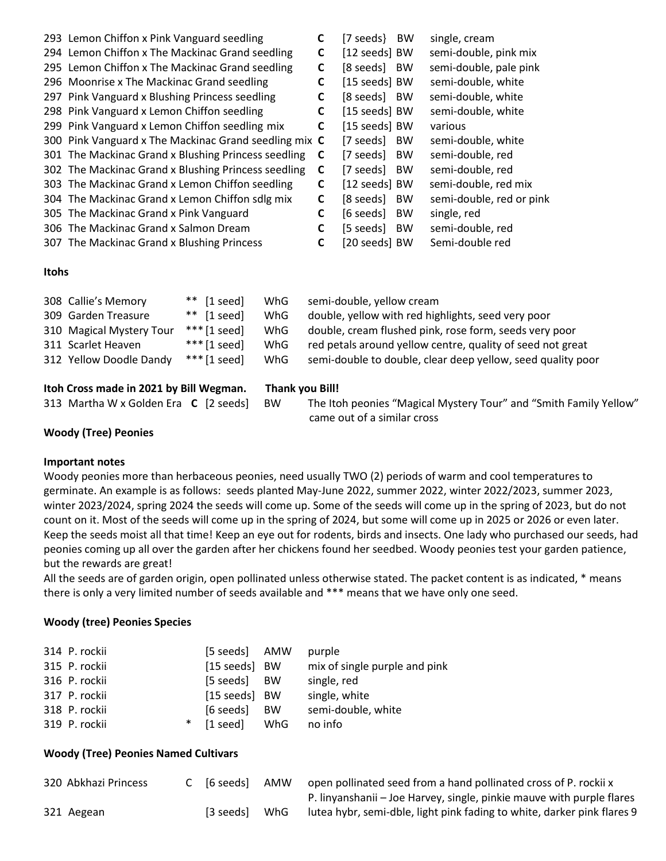|       | 293 Lemon Chiffon x Pink Vanguard seedling            | C | <b>BW</b><br>[7 seeds}- | single, cream            |
|-------|-------------------------------------------------------|---|-------------------------|--------------------------|
|       | 294 Lemon Chiffon x The Mackinac Grand seedling       | C | [12 seeds] BW           | semi-double, pink mix    |
|       | 295 Lemon Chiffon x The Mackinac Grand seedling       | C | [8 seeds]<br><b>BW</b>  | semi-double, pale pink   |
|       | 296 Moonrise x The Mackinac Grand seedling            | C | [15 seeds] BW           | semi-double, white       |
|       | 297 Pink Vanguard x Blushing Princess seedling        | C | [8 seeds]<br><b>BW</b>  | semi-double, white       |
|       | 298 Pink Vanguard x Lemon Chiffon seedling            | C | [15 seeds] BW           | semi-double, white       |
|       | 299 Pink Vanguard x Lemon Chiffon seedling mix        | C | [15 seeds] BW           | various                  |
|       | 300 Pink Vanguard x The Mackinac Grand seedling mix C |   | [7 seeds]<br><b>BW</b>  | semi-double, white       |
|       | 301 The Mackinac Grand x Blushing Princess seedling   | C | [7 seeds]<br><b>BW</b>  | semi-double, red         |
|       | 302 The Mackinac Grand x Blushing Princess seedling   | C | [7 seeds]<br><b>BW</b>  | semi-double, red         |
|       | 303 The Mackinac Grand x Lemon Chiffon seedling       | C | [12 seeds] BW           | semi-double, red mix     |
|       | 304 The Mackinac Grand x Lemon Chiffon sdlg mix       | C | [8 seeds]<br>BW         | semi-double, red or pink |
|       | 305 The Mackinac Grand x Pink Vanguard                | C | [6 seeds]<br><b>BW</b>  | single, red              |
|       | 306 The Mackinac Grand x Salmon Dream                 | C | [5 seeds]<br><b>BW</b>  | semi-double, red         |
|       | 307 The Mackinac Grand x Blushing Princess            | C | [20 seeds] BW           | Semi-double red          |
|       |                                                       |   |                         |                          |
| Itohs |                                                       |   |                         |                          |
|       |                                                       |   |                         |                          |

| Itoh Cross made in 2021 by Bill Wegman. |                          | Thank you Bill!       |     |                                                             |
|-----------------------------------------|--------------------------|-----------------------|-----|-------------------------------------------------------------|
|                                         | 312 Yellow Doodle Dandy  | $***$ [1 seed]        | WhG | semi-double to double, clear deep yellow, seed quality poor |
|                                         | 311 Scarlet Heaven       | $***$ [1 seed]        | WhG | red petals around yellow centre, quality of seed not great  |
|                                         | 310 Magical Mystery Tour | *** $[1$ seed]        | WhG | double, cream flushed pink, rose form, seeds very poor      |
|                                         | 309 Garden Treasure      | ** $[1 \text{ seed}]$ | WhG | double, yellow with red highlights, seed very poor          |
|                                         | 308 Callie's Memory      | $**$ [1 seed]         | WhG | semi-double, yellow cream                                   |

| lton Cross made in 2021 by Bill Wegman. |    | Thank vou Bill!                                                   |
|-----------------------------------------|----|-------------------------------------------------------------------|
| 313 Martha W x Golden Era C [2 seeds]   | BW | The Itoh peonies "Magical Mystery Tour" and "Smith Family Yellow" |
|                                         |    | came out of a similar cross                                       |

### **Woody (Tree) Peonies**

#### **Important notes**

Woody peonies more than herbaceous peonies, need usually TWO (2) periods of warm and cool temperatures to germinate. An example is as follows: seeds planted May-June 2022, summer 2022, winter 2022/2023, summer 2023, winter 2023/2024, spring 2024 the seeds will come up. Some of the seeds will come up in the spring of 2023, but do not count on it. Most of the seeds will come up in the spring of 2024, but some will come up in 2025 or 2026 or even later. Keep the seeds moist all that time! Keep an eye out for rodents, birds and insects. One lady who purchased our seeds, had peonies coming up all over the garden after her chickens found her seedbed. Woody peonies test your garden patience, but the rewards are great!

All the seeds are of garden origin, open pollinated unless otherwise stated. The packet content is as indicated, \* means there is only a very limited number of seeds available and \*\*\* means that we have only one seed.

### **Woody (tree) Peonies Species**

| 314 P. rockii |   | [5 seeds] AMW  |           | purple                        |
|---------------|---|----------------|-----------|-------------------------------|
| 315 P. rockii |   | [15 seeds] BW  |           | mix of single purple and pink |
| 316 P. rockii |   | [5 seeds] BW   |           | single, red                   |
| 317 P. rockii |   | [15 seeds] BW  |           | single, white                 |
| 318 P. rockii |   | $[6$ seeds $]$ | <b>BW</b> | semi-double, white            |
| 319 P. rockii | ∗ | $[1$ seed]     | WhG       | no info                       |

#### **Woody (Tree) Peonies Named Cultivars**

| 320 Abkhazi Princess | C [6 seeds] | AMW | open pollinated seed from a hand pollinated cross of P. rockii x        |
|----------------------|-------------|-----|-------------------------------------------------------------------------|
|                      |             |     | P. linyanshanii - Joe Harvey, single, pinkie mauve with purple flares   |
| 321 Aegean           | [3 seeds]   | WhG | lutea hybr, semi-dble, light pink fading to white, darker pink flares 9 |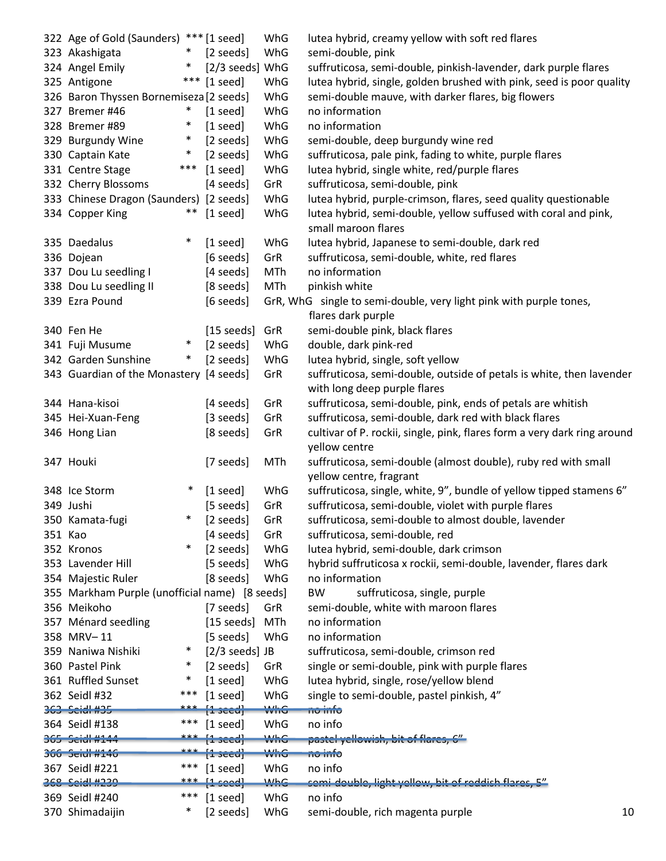|         | 322 Age of Gold (Saunders) *** [1 seed]        |                                         | WhG        | lutea hybrid, creamy yellow with soft red flares                                          |    |
|---------|------------------------------------------------|-----------------------------------------|------------|-------------------------------------------------------------------------------------------|----|
|         | 323 Akashigata<br>$\ast$                       | [2 seeds]                               | WhG        | semi-double, pink                                                                         |    |
|         | 324 Angel Emily<br>$\ast$                      | [2/3 seeds] WhG                         |            | suffruticosa, semi-double, pinkish-lavender, dark purple flares                           |    |
|         | ***<br>325 Antigone                            | $[1 \text{ seed}]$                      | WhG        | lutea hybrid, single, golden brushed with pink, seed is poor quality                      |    |
|         | 326 Baron Thyssen Bornemiseza [2 seeds]        |                                         | WhG        | semi-double mauve, with darker flares, big flowers                                        |    |
|         | 327 Bremer #46<br>$\ast$                       | $[1$ seed]                              | WhG        | no information                                                                            |    |
|         | $\ast$<br>328 Bremer #89                       | $[1 \text{ seed}]$                      | WhG        | no information                                                                            |    |
|         | $\ast$<br>329 Burgundy Wine                    | [2 seeds]                               | WhG        | semi-double, deep burgundy wine red                                                       |    |
|         | 330 Captain Kate<br>$\ast$                     | [2 seeds]                               | WhG        | suffruticosa, pale pink, fading to white, purple flares                                   |    |
|         | ***<br>331 Centre Stage                        | $[1 \text{ seed}]$                      | WhG        | lutea hybrid, single white, red/purple flares                                             |    |
|         | 332 Cherry Blossoms                            | [4 seeds]                               | GrR        | suffruticosa, semi-double, pink                                                           |    |
|         | 333 Chinese Dragon (Saunders) [2 seeds]        |                                         | WhG        | lutea hybrid, purple-crimson, flares, seed quality questionable                           |    |
|         | 334 Copper King<br>$***$                       | $[1 \text{ seed}]$                      | WhG        | lutea hybrid, semi-double, yellow suffused with coral and pink,                           |    |
|         |                                                |                                         |            | small maroon flares                                                                       |    |
|         | 335 Daedalus<br>∗                              | $[1 \text{ seed}]$                      | WhG        | lutea hybrid, Japanese to semi-double, dark red                                           |    |
|         | 336 Dojean                                     | [6 seeds]                               | GrR        | suffruticosa, semi-double, white, red flares                                              |    |
|         | 337 Dou Lu seedling I                          | [4 seeds]                               | MTh        | no information                                                                            |    |
|         | 338 Dou Lu seedling II                         | [8 seeds]                               | MTh        | pinkish white                                                                             |    |
|         | 339 Ezra Pound                                 | [6 seeds]                               |            | GrR, WhG single to semi-double, very light pink with purple tones,                        |    |
|         |                                                |                                         |            | flares dark purple                                                                        |    |
|         | 340 Fen He                                     | $[15 \text{ seeds}]$                    | GrR        | semi-double pink, black flares                                                            |    |
|         | $\ast$<br>341 Fuji Musume                      | [2 seeds]                               | WhG        | double, dark pink-red                                                                     |    |
|         | 342 Garden Sunshine<br>$\ast$                  | [2 seeds]                               | WhG        | lutea hybrid, single, soft yellow                                                         |    |
|         | 343 Guardian of the Monastery [4 seeds]        |                                         | GrR        | suffruticosa, semi-double, outside of petals is white, then lavender                      |    |
|         |                                                |                                         |            | with long deep purple flares                                                              |    |
|         | 344 Hana-kisoi                                 | [4 seeds]                               | GrR        | suffruticosa, semi-double, pink, ends of petals are whitish                               |    |
|         | 345 Hei-Xuan-Feng                              | [3 seeds]                               | GrR        | suffruticosa, semi-double, dark red with black flares                                     |    |
|         | 346 Hong Lian                                  | [8 seeds]                               | GrR        | cultivar of P. rockii, single, pink, flares form a very dark ring around<br>yellow centre |    |
|         | 347 Houki                                      | [7 seeds]                               | MTh        | suffruticosa, semi-double (almost double), ruby red with small                            |    |
|         |                                                |                                         |            | yellow centre, fragrant                                                                   |    |
|         | 348 Ice Storm<br>∗                             | $[1 \text{ seed}]$                      | WhG        | suffruticosa, single, white, 9", bundle of yellow tipped stamens 6"                       |    |
|         | 349 Jushi                                      | [5 seeds]                               | GrR        | suffruticosa, semi-double, violet with purple flares                                      |    |
|         | 350 Kamata-fugi                                | [2 seeds]                               | GrR        | suffruticosa, semi-double to almost double, lavender                                      |    |
| 351 Kao |                                                | [4 seeds]                               | GrR        | suffruticosa, semi-double, red                                                            |    |
|         | $\ast$<br>352 Kronos                           | [2 seeds]                               | WhG        | lutea hybrid, semi-double, dark crimson                                                   |    |
|         | 353 Lavender Hill                              | [5 seeds]                               | WhG        | hybrid suffruticosa x rockii, semi-double, lavender, flares dark                          |    |
|         | 354 Majestic Ruler                             | [8 seeds]                               | WhG        | no information                                                                            |    |
|         | 355 Markham Purple (unofficial name) [8 seeds] |                                         |            | <b>BW</b><br>suffruticosa, single, purple                                                 |    |
|         | 356 Meikoho                                    | [7 seeds]                               | GrR        | semi-double, white with maroon flares                                                     |    |
|         | 357 Ménard seedling                            | $[15 \text{ seeds}]$                    | MTh        | no information                                                                            |    |
|         | 358 MRV-11                                     | [5 seeds]                               | WhG        | no information                                                                            |    |
|         | $\ast$<br>359 Naniwa Nishiki                   | $[2/3$ seeds] JB                        |            | suffruticosa, semi-double, crimson red                                                    |    |
|         | 360 Pastel Pink<br>$\ast$                      | [2 seeds]                               | GrR        | single or semi-double, pink with purple flares                                            |    |
|         | 361 Ruffled Sunset<br>∗                        | $[1$ seed]                              | WhG        | lutea hybrid, single, rose/yellow blend                                                   |    |
|         | ***<br>362 Seidl #32                           | $[1$ seed]                              | WhG        | single to semi-double, pastel pinkish, 4"                                                 |    |
|         | ***<br>363 Seidl #35                           | $\left\{ 1 \right\}$                    | <b>WhG</b> | no info                                                                                   |    |
|         | ***<br>364 Seidl #138                          | $[1 \text{ seed}]$                      | WhG        | no info                                                                                   |    |
|         | 365 Seidl #144<br>$***$                        | $[4 \sec d]$                            | WhG        | pastel yellowish, bit of flares, 6"                                                       |    |
|         | 366 Seidl #146<br>***                          | $[1 \sec d]$                            | <b>WhG</b> | c <del>hii</del> on                                                                       |    |
|         | 367 Seidl #221<br>368 Seidl #239<br>***        | $[1 \text{ seed}]$                      | WhG<br>WhC | no info<br>semi double, light yellow, bit of reddish flares, 5"                           |    |
|         | ***<br>369 Seidl #240                          | $[1 \text{seed}]$<br>$[1 \text{ seed}]$ | WhG        | no info                                                                                   |    |
|         | 370 Shimadaijin<br>$\ast$                      | [2 seeds]                               | WhG        | semi-double, rich magenta purple                                                          | 10 |
|         |                                                |                                         |            |                                                                                           |    |